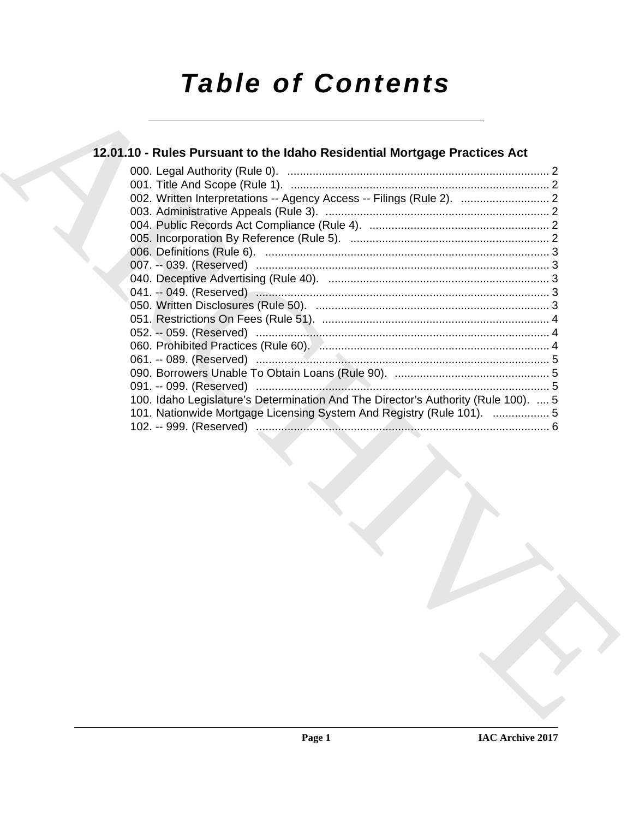# *Table of Contents*

## **12.01.10 - Rules Pursuant to the Idaho Residential Mortgage Practices Act**

| 002. Written Interpretations -- Agency Access -- Filings (Rule 2).  2              |  |
|------------------------------------------------------------------------------------|--|
|                                                                                    |  |
|                                                                                    |  |
|                                                                                    |  |
|                                                                                    |  |
|                                                                                    |  |
|                                                                                    |  |
|                                                                                    |  |
|                                                                                    |  |
|                                                                                    |  |
|                                                                                    |  |
|                                                                                    |  |
|                                                                                    |  |
| 100. Idaho Legislature's Determination And The Director's Authority (Rule 100).  5 |  |
|                                                                                    |  |
|                                                                                    |  |
|                                                                                    |  |
|                                                                                    |  |
|                                                                                    |  |
|                                                                                    |  |
|                                                                                    |  |
|                                                                                    |  |
|                                                                                    |  |
|                                                                                    |  |
|                                                                                    |  |
|                                                                                    |  |
|                                                                                    |  |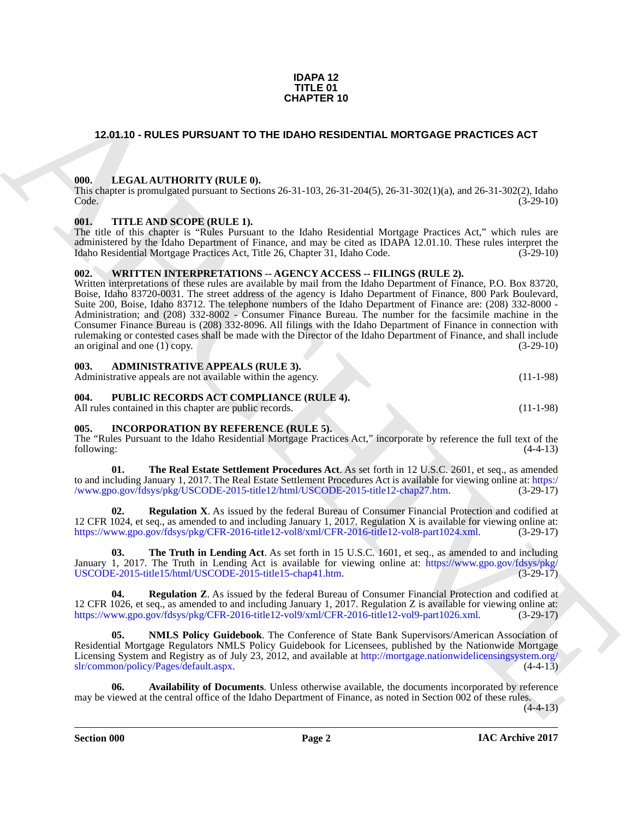### **IDAPA 12 TITLE 01 CHAPTER 10**

### <span id="page-1-0"></span>**12.01.10 - RULES PURSUANT TO THE IDAHO RESIDENTIAL MORTGAGE PRACTICES ACT**

### <span id="page-1-1"></span>**000. LEGAL AUTHORITY (RULE 0).**

This chapter is promulgated pursuant to Sections 26-31-103, 26-31-204(5), 26-31-302(1)(a), and 26-31-302(2), Idaho<br>Code. (3-29-10)  $\text{Code.}$  (3-29-10)

### <span id="page-1-2"></span>**001. TITLE AND SCOPE (RULE 1).**

The title of this chapter is "Rules Pursuant to the Idaho Residential Mortgage Practices Act," which rules are administered by the Idaho Department of Finance, and may be cited as IDAPA 12.01.10. These rules interpret the Idaho Residential Mortgage Practices Act, Title 26, Chapter 31, Idaho Code. (3-29-10)

### <span id="page-1-3"></span>**002. WRITTEN INTERPRETATIONS -- AGENCY ACCESS -- FILINGS (RULE 2).**

ARC[H](https://www.gpo.gov/fdsys/pkg/USCODE-2015-title12/html/USCODE-2015-title12-chap27.htm)[I](https://www.gpo.gov/fdsys/pkg/CFR-2016-title12-vol8/xml/CFR-2016-title12-vol8-part1024.xml)[V](https://www.gpo.gov/fdsys/pkg/USCODE-2015-title15/html/USCODE-2015-title15-chap41.htm)[E](http://mortgage.nationwidelicensingsystem.org/slr/common/policy/Pages/default.aspx) Written interpretations of these rules are available by mail from the Idaho Department of Finance, P.O. Box 83720, Boise, Idaho 83720-0031. The street address of the agency is Idaho Department of Finance, 800 Park Boulevard, Suite 200, Boise, Idaho 83712. The telephone numbers of the Idaho Department of Finance are: (208) 332-8000 - Administration; and (208) 332-8002 - Consumer Finance Bureau. The number for the facsimile machine in the Consumer Finance Bureau is (208) 332-8096. All filings with the Idaho Department of Finance in connection with rulemaking or contested cases shall be made with the Director of the Idaho Department of Finance, and shall include an original and one (1) copy. (3-29-10)

### <span id="page-1-4"></span>**003. ADMINISTRATIVE APPEALS (RULE 3).** Administrative appeals are not available within the agency. (11-1-98)

### <span id="page-1-5"></span>**004. PUBLIC RECORDS ACT COMPLIANCE (RULE 4).**

All rules contained in this chapter are public records. (11-1-98)

### <span id="page-1-7"></span><span id="page-1-6"></span>**005. INCORPORATION BY REFERENCE (RULE 5).**

The "Rules Pursuant to the Idaho Residential Mortgage Practices Act," incorporate by reference the full text of the following: (4-4-13)

<span id="page-1-12"></span>**01. The Real Estate Settlement Procedures Act**. As set forth in 12 U.S.C. 2601, et seq., as amended to and including January 1, 2017. The Real Estate Settlement Procedures Act is available for viewing online at: https:/ /www.gpo.gov/fdsys/pkg/USCODE-2015-title12/html/USCODE-2015-title12-chap27.htm. (3-29-17)

<span id="page-1-10"></span>**02. Regulation X**. As issued by the federal Bureau of Consumer Financial Protection and codified at 12 CFR 1024, et seq., as amended to and including January 1, 2017. Regulation X is available for viewing online at: https://www.gpo.gov/fdsys/pkg/CFR-2016-title12-vol8/xml/CFR-2016-title12-vol8-part1024.xml. (3-29-17)

<span id="page-1-13"></span>**03. The Truth in Lending Act**. As set forth in 15 U.S.C. 1601, et seq., as amended to and including January 1, 2017. The Truth in Lending Act is available for viewing online at: https://www.gpo.gov/fdsys/pkg/<br>USCODE-2015-title15/html/USCODE-2015-title15-chap41.htm. (3-29-17) USCODE-2015-title15/html/USCODE-2015-title15-chap41.htm.

<span id="page-1-11"></span>**04. Regulation Z**. As issued by the federal Bureau of Consumer Financial Protection and codified at 12 CFR 1026, et seq., as amended to and including January 1, 2017. Regulation Z is available for viewing online at:<br>https://www.gpo.gov/fdsys/pkg/CFR-2016-title12-vol9/xml/CFR-2016-title12-vol9-part1026.xml. (3-29-17) https://www.gpo.gov/fdsys/pkg/CFR-2016-title12-vol9/xml/CFR-2016-title12-vol9-part1026.xml.

<span id="page-1-9"></span>**05. NMLS Policy Guidebook**. The Conference of State Bank Supervisors/American Association of Residential Mortgage Regulators NMLS Policy Guidebook for Licensees, published by the Nationwide Mortgage Licensing System and Registry as of July 23, 2012, and available at http://mortgage.nationwidelicensingsystem.org/<br>slr/common/policy/Pages/default.aspx. (4-4-13) slr/common/policy/Pages/default.aspx.

<span id="page-1-8"></span>**06. Availability of Documents**. Unless otherwise available, the documents incorporated by reference may be viewed at the central office of the Idaho Department of Finance, as noted in Section 002 of these rules.

 $(4-4-13)$ 

**Section 000 Page 2**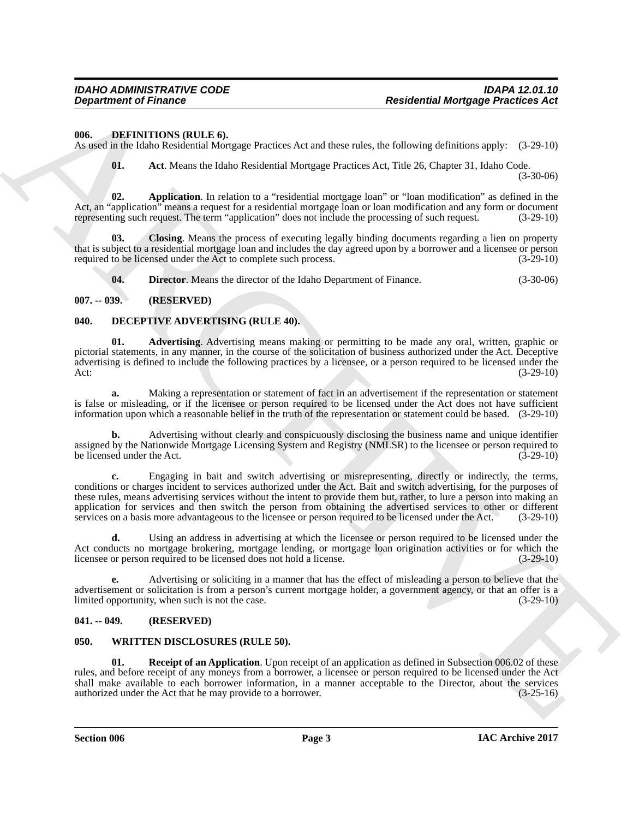### <span id="page-2-7"></span><span id="page-2-0"></span>**006. DEFINITIONS (RULE 6).**

As used in the Idaho Residential Mortgage Practices Act and these rules, the following definitions apply: (3-29-10)

<span id="page-2-9"></span><span id="page-2-8"></span>**01. Act**. Means the Idaho Residential Mortgage Practices Act, Title 26, Chapter 31, Idaho Code.

(3-30-06)

**02. Application**. In relation to a "residential mortgage loan" or "loan modification" as defined in the Act, an "application" means a request for a residential mortgage loan or loan modification and any form or document representing such request. The term "application" does not include the processing of such request. (3-29-10)

**03. Closing**. Means the process of executing legally binding documents regarding a lien on property that is subject to a residential mortgage loan and includes the day agreed upon by a borrower and a licensee or person required to be licensed under the Act to complete such process. (3-29-10)

<span id="page-2-11"></span><span id="page-2-10"></span><span id="page-2-6"></span><span id="page-2-5"></span>**04. Director**. Means the director of the Idaho Department of Finance. (3-30-06)

### <span id="page-2-1"></span>**007. -- 039. (RESERVED)**

### <span id="page-2-2"></span>**040. DECEPTIVE ADVERTISING (RULE 40).**

**01. Advertising**. Advertising means making or permitting to be made any oral, written, graphic or pictorial statements, in any manner, in the course of the solicitation of business authorized under the Act. Deceptive advertising is defined to include the following practices by a licensee, or a person required to be licensed under the Act: (3-29-10)

**a.** Making a representation or statement of fact in an advertisement if the representation or statement is false or misleading, or if the licensee or person required to be licensed under the Act does not have sufficient information upon which a reasonable belief in the truth of the representation or statement could be based. (3-29-10)

**b.** Advertising without clearly and conspicuously disclosing the business name and unique identifier assigned by the Nationwide Mortgage Licensing System and Registry (NMLSR) to the licensee or person required to<br>(3-29-10) (3-29-10) be licensed under the Act.

Repartment of Finance<br>
Max a particular state and the state and the state and the state and the state and the state and the state and the state and the state and the state and the state of the state and the state of the s **c.** Engaging in bait and switch advertising or misrepresenting, directly or indirectly, the terms, conditions or charges incident to services authorized under the Act. Bait and switch advertising, for the purposes of these rules, means advertising services without the intent to provide them but, rather, to lure a person into making an application for services and then switch the person from obtaining the advertised services to other or different services on a basis more advantageous to the licensee or person required to be licensed under the Act. (3-29-10)

**d.** Using an address in advertising at which the licensee or person required to be licensed under the Act conducts no mortgage brokering, mortgage lending, or mortgage loan origination activities or for which the licensee or person required to be licensed does not hold a license. (3-29-10)

**e.** Advertising or soliciting in a manner that has the effect of misleading a person to believe that the advertisement or solicitation is from a person's current mortgage holder, a government agency, or that an offer is a limited opportunity, when such is not the case. (3-29-10)

### <span id="page-2-3"></span>**041. -- 049. (RESERVED)**

### <span id="page-2-12"></span><span id="page-2-4"></span>**050. WRITTEN DISCLOSURES (RULE 50).**

<span id="page-2-13"></span>**01. Receipt of an Application**. Upon receipt of an application as defined in Subsection 006.02 of these rules, and before receipt of any moneys from a borrower, a licensee or person required to be licensed under the Act shall make available to each borrower information, in a manner acceptable to the Director, about the services authorized under the Act that he may provide to a borrower. (3-25-16) authorized under the Act that he may provide to a borrower.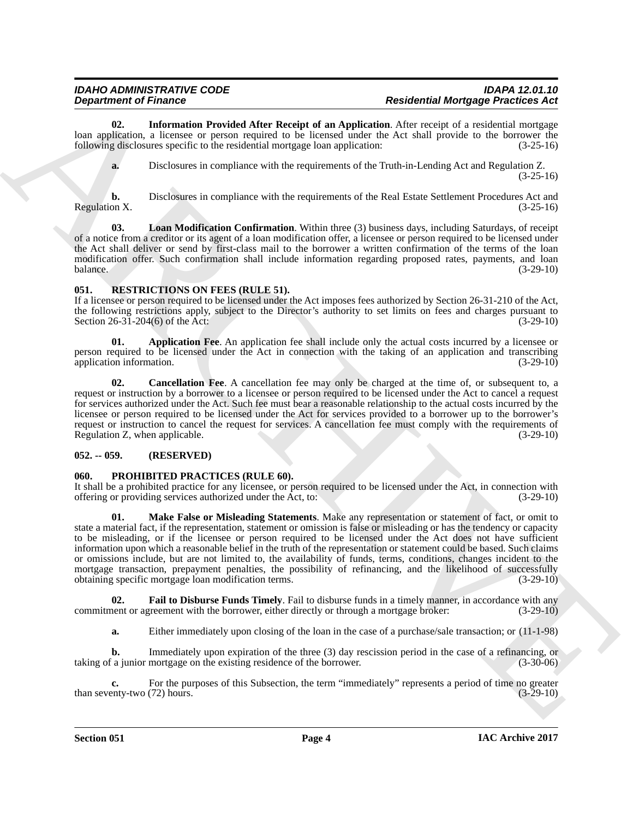**02. Information Provided After Receipt of an Application**. After receipt of a residential mortgage loan application, a licensee or person required to be licensed under the Act shall provide to the borrower the following disclosures specific to the residential mortgage loan application: (3-25-16)

<span id="page-3-10"></span><span id="page-3-3"></span>**a.** Disclosures in compliance with the requirements of the Truth-in-Lending Act and Regulation Z. (3-25-16)

**b.** Disclosures in compliance with the requirements of the Real Estate Settlement Procedures Act and on X. (3-25-16) Regulation X.

**03. Loan Modification Confirmation**. Within three (3) business days, including Saturdays, of receipt of a notice from a creditor or its agent of a loan modification offer, a licensee or person required to be licensed under the Act shall deliver or send by first-class mail to the borrower a written confirmation of the terms of the loan modification offer. Such confirmation shall include information regarding proposed rates, payments, and loan balance. (3-29-10)

### <span id="page-3-7"></span><span id="page-3-0"></span>**051. RESTRICTIONS ON FEES (RULE 51).**

If a licensee or person required to be licensed under the Act imposes fees authorized by Section 26-31-210 of the Act, the following restrictions apply, subject to the Director's authority to set limits on fees and charges pursuant to Section  $26-31-204(6)$  of the Act: (3-29-10)

<span id="page-3-8"></span>**01. Application Fee**. An application fee shall include only the actual costs incurred by a licensee or person required to be licensed under the Act in connection with the taking of an application and transcribing application information. (3-29-10) application information.

<span id="page-3-9"></span>**02. Cancellation Fee**. A cancellation fee may only be charged at the time of, or subsequent to, a request or instruction by a borrower to a licensee or person required to be licensed under the Act to cancel a request for services authorized under the Act. Such fee must bear a reasonable relationship to the actual costs incurred by the licensee or person required to be licensed under the Act for services provided to a borrower up to the borrower's request or instruction to cancel the request for services. A cancellation fee must comply with the requirements of Regulation Z, when applicable. (3-29-10)

### <span id="page-3-1"></span>**052. -- 059. (RESERVED)**

### <span id="page-3-4"></span><span id="page-3-2"></span>**060. PROHIBITED PRACTICES (RULE 60).**

<span id="page-3-6"></span>It shall be a prohibited practice for any licensee, or person required to be licensed under the Act, in connection with offering or providing services authorized under the Act, to: (3-29-10) offering or providing services authorized under the Act, to:

**Expansion of France C** and the specific state and the specific state of the specific state of the specific state of the specific state of the specific state of the specific state of the specific state of the specific sta **01. Make False or Misleading Statements**. Make any representation or statement of fact, or omit to state a material fact, if the representation, statement or omission is false or misleading or has the tendency or capacity to be misleading, or if the licensee or person required to be licensed under the Act does not have sufficient information upon which a reasonable belief in the truth of the representation or statement could be based. Such claims or omissions include, but are not limited to, the availability of funds, terms, conditions, changes incident to the mortgage transaction, prepayment penalties, the possibility of refinancing, and the likelihood of successfully obtaining specific mortgage loan modification terms. (3-29-10) obtaining specific mortgage loan modification terms.

**02. Fail to Disburse Funds Timely**. Fail to disburse funds in a timely manner, in accordance with any commitment or agreement with the borrower, either directly or through a mortgage broker: (3-29-10)

<span id="page-3-5"></span>**a.** Either immediately upon closing of the loan in the case of a purchase/sale transaction; or  $(11-1-98)$ 

**b.** Immediately upon expiration of the three (3) day rescission period in the case of a refinancing, or a junior mortgage on the existing residence of the borrower. (3-30-06) taking of a junior mortgage on the existing residence of the borrower.

**c.** For the purposes of this Subsection, the term "immediately" represents a period of time no greater enty-two (72) hours. (3-29-10) than seventy-two  $(72)$  hours.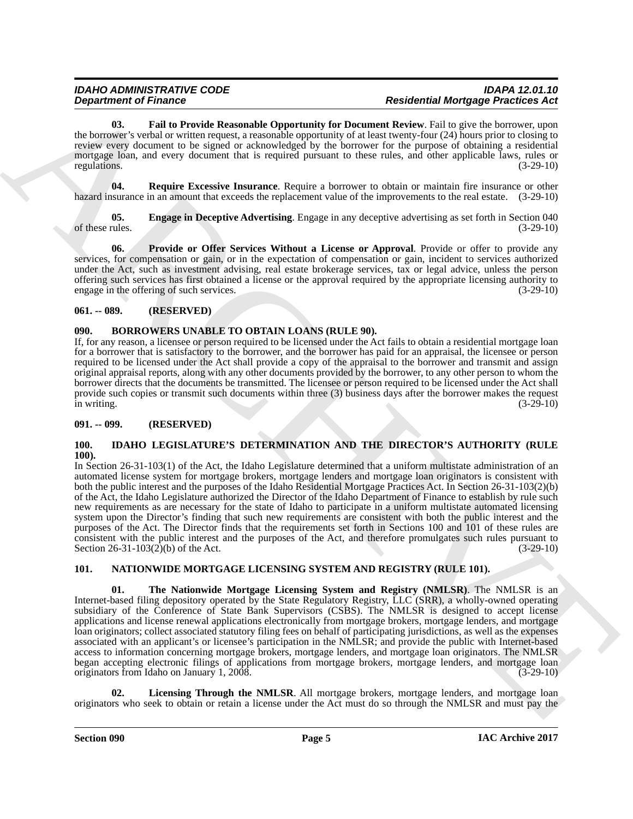### *IDAHO ADMINISTRATIVE CODE IDAPA 12.01.10 Department of Finance Residential Mortgage Practices Act*

<span id="page-4-11"></span>**03. Fail to Provide Reasonable Opportunity for Document Review**. Fail to give the borrower, upon the borrower's verbal or written request, a reasonable opportunity of at least twenty-four (24) hours prior to closing to review every document to be signed or acknowledged by the borrower for the purpose of obtaining a residential mortgage loan, and every document that is required pursuant to these rules, and other applicable laws, rules or regulations. (3-29-10)

<span id="page-4-13"></span>**04. Require Excessive Insurance**. Require a borrower to obtain or maintain fire insurance or other hazard insurance in an amount that exceeds the replacement value of the improvements to the real estate. (3-29-10)

<span id="page-4-10"></span>**05. Engage in Deceptive Advertising**. Engage in any deceptive advertising as set forth in Section 040 of these rules.  $(3-29-10)$ 

<span id="page-4-12"></span>**06. Provide or Offer Services Without a License or Approval.** Provide or offer to provide any services, for compensation or gain, or in the expectation of compensation or gain, incident to services authorized under the Act, such as investment advising, real estate brokerage services, tax or legal advice, unless the person offering such services has first obtained a license or the approval required by the appropriate licensing authority to engage in the offering of such services. (3-29-10) engage in the offering of such services.

### <span id="page-4-0"></span>**061. -- 089. (RESERVED)**

### <span id="page-4-5"></span><span id="page-4-1"></span>**090. BORROWERS UNABLE TO OBTAIN LOANS (RULE 90).**

If, for any reason, a licensee or person required to be licensed under the Act fails to obtain a residential mortgage loan for a borrower that is satisfactory to the borrower, and the borrower has paid for an appraisal, the licensee or person required to be licensed under the Act shall provide a copy of the appraisal to the borrower and transmit and assign original appraisal reports, along with any other documents provided by the borrower, to any other person to whom the borrower directs that the documents be transmitted. The licensee or person required to be licensed under the Act shall provide such copies or transmit such documents within three (3) business days after the borrower makes the request<br>(3-29-10) (3-29-10) in writing. (3-29-10)

### <span id="page-4-2"></span>**091. -- 099. (RESERVED)**

### <span id="page-4-6"></span><span id="page-4-3"></span>**100. IDAHO LEGISLATURE'S DETERMINATION AND THE DIRECTOR'S AUTHORITY (RULE 100).**

In Section 26-31-103(1) of the Act, the Idaho Legislature determined that a uniform multistate administration of an automated license system for mortgage brokers, mortgage lenders and mortgage loan originators is consistent with both the public interest and the purposes of the Idaho Residential Mortgage Practices Act. In Section 26-31-103(2)(b) of the Act, the Idaho Legislature authorized the Director of the Idaho Department of Finance to establish by rule such new requirements as are necessary for the state of Idaho to participate in a uniform multistate automated licensing system upon the Director's finding that such new requirements are consistent with both the public interest and the purposes of the Act. The Director finds that the requirements set forth in Sections 100 and 101 of these rules are consistent with the public interest and the purposes of the Act, and therefore promulgates such rules pursuant to Section 26-31-103(2)(b) of the Act. (3-29-10)

### <span id="page-4-9"></span><span id="page-4-7"></span><span id="page-4-4"></span>**101. NATIONWIDE MORTGAGE LICENSING SYSTEM AND REGISTRY (RULE 101).**

**Department of France Constraints of the mass of the stationary of the stationary of the constraints of the mass of the constraints of the constraints of the constraints of the constraints of the constraints of the constr 01. The Nationwide Mortgage Licensing System and Registry (NMLSR)**. The NMLSR is an Internet-based filing depository operated by the State Regulatory Registry, LLC (SRR), a wholly-owned operating subsidiary of the Conference of State Bank Supervisors (CSBS). The NMLSR is designed to accept license applications and license renewal applications electronically from mortgage brokers, mortgage lenders, and mortgage loan originators; collect associated statutory filing fees on behalf of participating jurisdictions, as well as the expenses associated with an applicant's or licensee's participation in the NMLSR; and provide the public with Internet-based access to information concerning mortgage brokers, mortgage lenders, and mortgage loan originators. The NMLSR began accepting electronic filings of applications from mortgage brokers, mortgage lenders, and mortgage loan originators from Idaho on January 1, 2008. (3-29-10)

<span id="page-4-8"></span>Licensing Through the NMLSR. All mortgage brokers, mortgage lenders, and mortgage loan originators who seek to obtain or retain a license under the Act must do so through the NMLSR and must pay the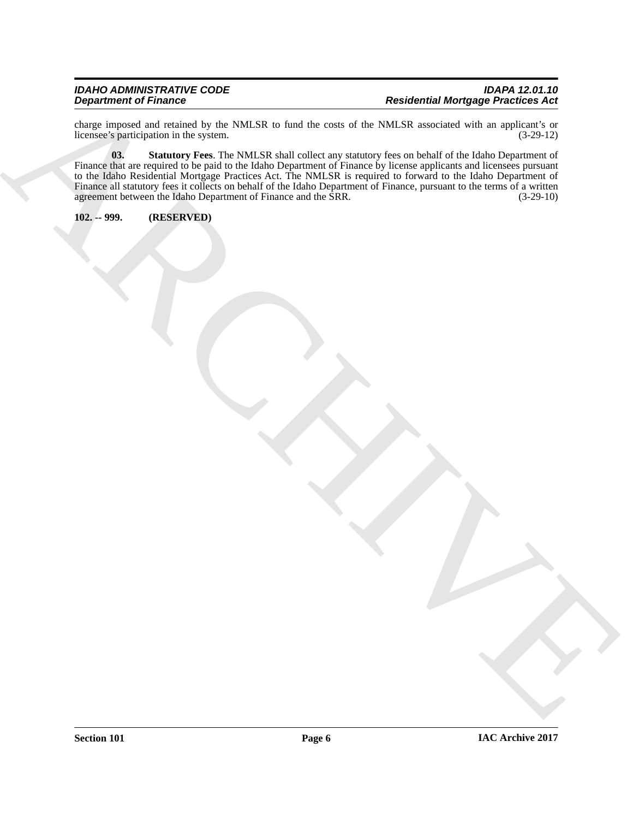<span id="page-5-1"></span>charge imposed and retained by the NMLSR to fund the costs of the NMLSR associated with an applicant's or licensee's participation in the system. (3-29-12) licensee's participation in the system.

Registered of Principal Control of the NMAR wheat to each of the NMAR wheat the second of the NMAR wheat the second of the NMAR wheat the NMAR wheat the Second of the NMAR wheat the Second of the NMAR wheat the Second of t **03. Statutory Fees**. The NMLSR shall collect any statutory fees on behalf of the Idaho Department of Finance that are required to be paid to the Idaho Department of Finance by license applicants and licensees pursuant to the Idaho Residential Mortgage Practices Act. The NMLSR is required to forward to the Idaho Department of Finance all statutory fees it collects on behalf of the Idaho Department of Finance, pursuant to the terms of a written agreement between the Idaho Department of Finance and the SRR. (3-29-10) agreement between the Idaho Department of Finance and the SRR.

<span id="page-5-0"></span>**102. -- 999. (RESERVED)**